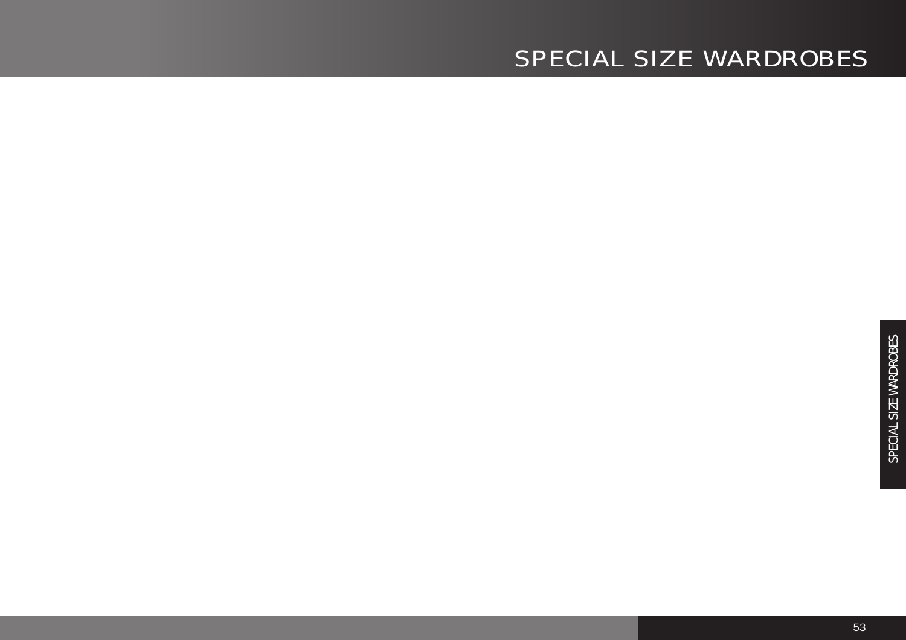## SPECIAL SIZE WARDROBES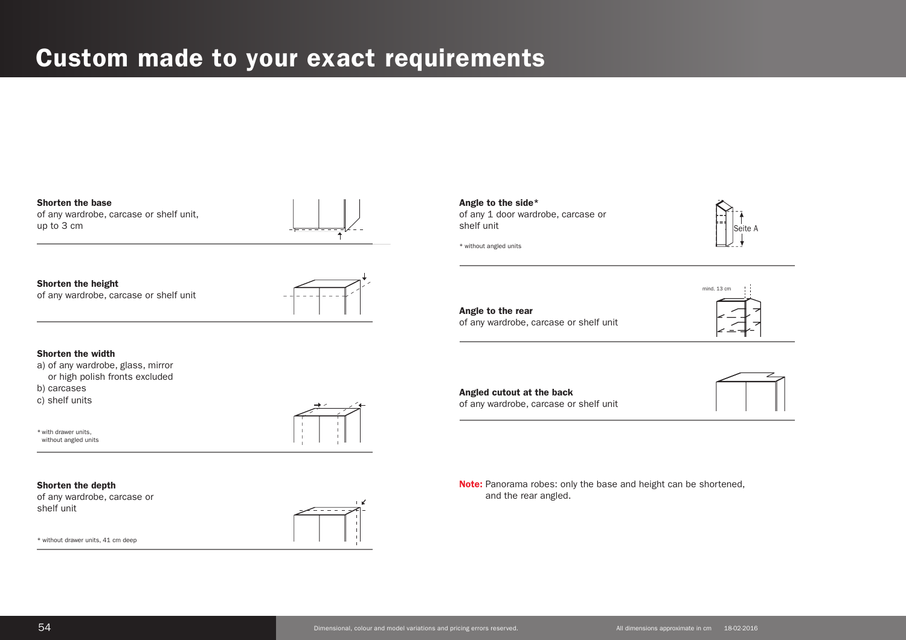## **Custom made to your exact requirements**

### **Shorten the base** of any wardrobe, carcase or shelf unit,

**Shorten the height**  of any wardrobe, carcase or shelf unit



### **Shorten the width**

- a) of any wardrobe, glass, mirror
- or high polish fronts excluded
- b) carcases

up to 3 cm

c) shelf units

\* with drawer units, without angled units



### **Shorten the depth**

of any wardrobe, carcase or shelf unit

\* without drawer units, 41 cm deep



**Angle to the side\*** of any 1 door wardrobe, carcase or shelf unit

\* without angled units



**Angle to the rear** of any wardrobe, carcase or shelf unit



**Angled cutout at the back** of any wardrobe, carcase or shelf unit



**Note:** Panorama robes: only the base and height can be shortened, and the rear angled.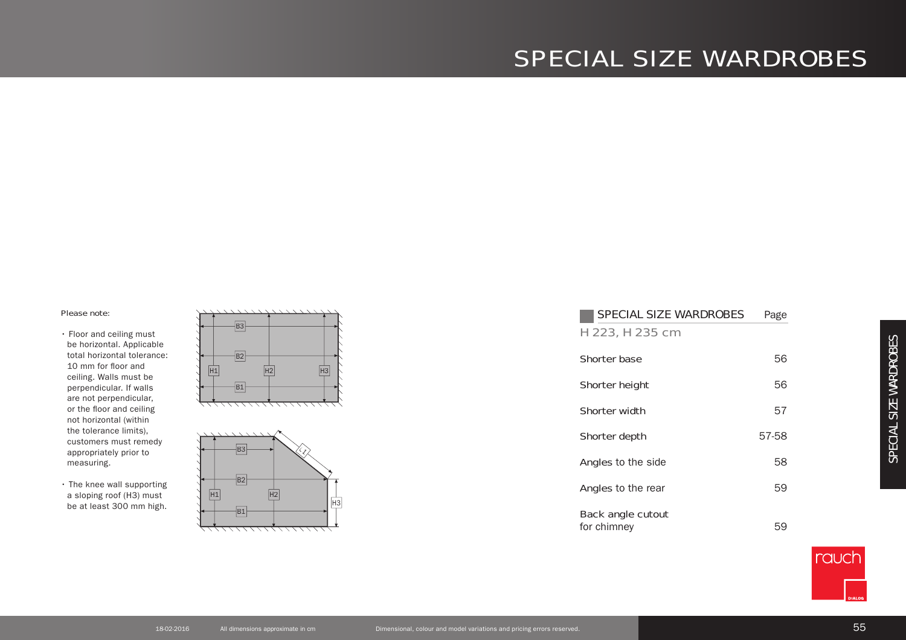## SPECIAL SIZE WARDROBES

#### Please note:

- Floor and ceiling must be horizontal. Applicable total horizontal tolerance: 10 mm for floor and ceiling. Walls must be perpendicular. If walls are not perpendicular, or the floor and ceiling not horizontal (within the tolerance limits), customers must remedy appropriately prior to measuring.
- The knee wall supporting a sloping roof (H3) must be at least 300 mm high.





| <b>SPECIAL SIZE WARDROBES</b>           | Page  |
|-----------------------------------------|-------|
| H 223, H 235 cm                         |       |
| <b>Shorter base</b>                     | 56    |
| <b>Shorter height</b>                   | 56    |
| <b>Shorter width</b>                    | 57    |
| Shorter depth                           | 57-58 |
| <b>Angles</b> to the side               | 58    |
| <b>Angles</b> to the rear               | 59    |
| <b>Back angle cutout</b><br>for chimney | 59    |

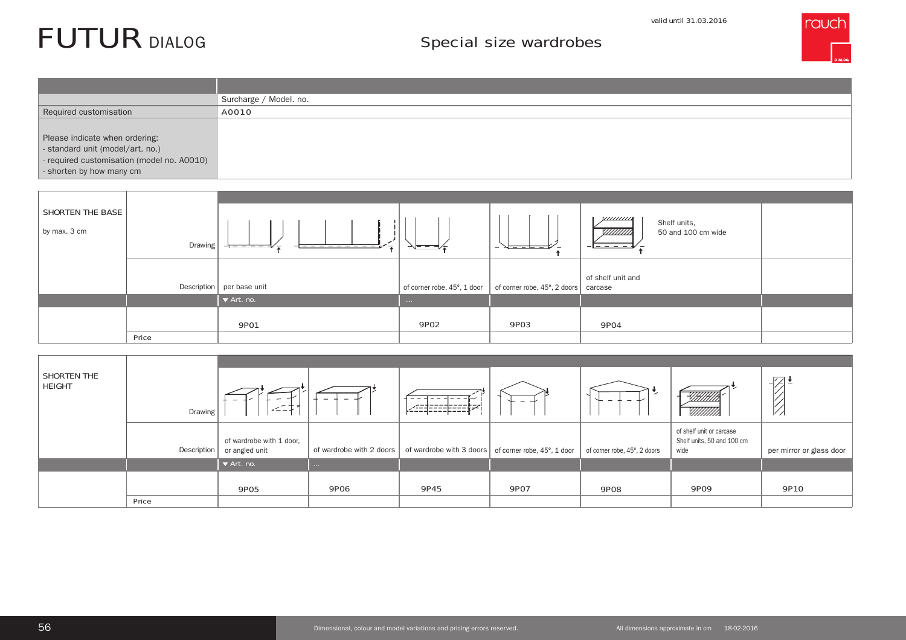#### valid until 31.03.2016

# FUTUR

## Special size wardrobes



|                                                                                                                                              | Surcharge / Model. no.            |
|----------------------------------------------------------------------------------------------------------------------------------------------|-----------------------------------|
| Required customisation                                                                                                                       | A0010                             |
| Please indicate when ordering:<br>- standard unit (model/art. no.)<br>- required customisation (model no. A0010)<br>- shorten by how many cm |                                   |
|                                                                                                                                              |                                   |
| <b>SHORTEN THE BASE</b>                                                                                                                      | <b>VIIIIIIIII</b><br>Shelf units, |

| by max. 3 cm | Drawing | - <del>----------</del> --<br>- <del>-------</del> | キュー        | $\sqrt{---}$ $-1$ $-1$<br>$\overline{\phantom{0}}$                                       | <i>VIIIIIIII</i><br>Shelf units,<br><i>ШШЛ</i><br>50 and 100 cm wide |  |
|--------------|---------|----------------------------------------------------|------------|------------------------------------------------------------------------------------------|----------------------------------------------------------------------|--|
|              |         | Description   per base unit                        |            | of corner robe, $45^{\circ}$ , 1 door   of corner robe, $45^{\circ}$ , 2 doors   carcase | of shelf unit and                                                    |  |
|              |         | $\blacktriangleright$ Art. no.                     | $\sim 100$ |                                                                                          |                                                                      |  |
|              |         | <b>9P01</b>                                        | 9P02       | 9P03                                                                                     | 9P04                                                                 |  |
|              | Price   |                                                    |            |                                                                                          |                                                                      |  |

| SHORTEN THE<br><b>HEIGHT</b> | Drawing     | $\overline{\phantom{a}}$<br>$\overline{\phantom{0}}$<br>--- | $\overline{\phantom{a}}$<br>$\overline{\phantom{0}}$ | --------                                               | $\overline{\phantom{0}}$ | $\sim$                       | .<br>X/H/H/H<br><u>VIIIIII</u> II                              | 72 !<br>V Z              |
|------------------------------|-------------|-------------------------------------------------------------|------------------------------------------------------|--------------------------------------------------------|--------------------------|------------------------------|----------------------------------------------------------------|--------------------------|
|                              | Description | of wardrobe with 1 door,<br>or angled unit                  | of wardrobe with 2 doors                             | of wardrobe with 3 doors   of corner robe, 45°, 1 door |                          | of corner robe, 45°, 2 doors | of shelf unit or carcase<br>Shelf units, 50 and 100 cm<br>wide | per mirror or glass door |
|                              |             | $\blacktriangledown$ Art. no.                               | $\sim 100$                                           |                                                        |                          |                              |                                                                |                          |
|                              | Price       | 9P05                                                        | <b>9P06</b>                                          | 9P45                                                   | 9P07                     | <b>9P08</b>                  | 9P09                                                           | 9P10                     |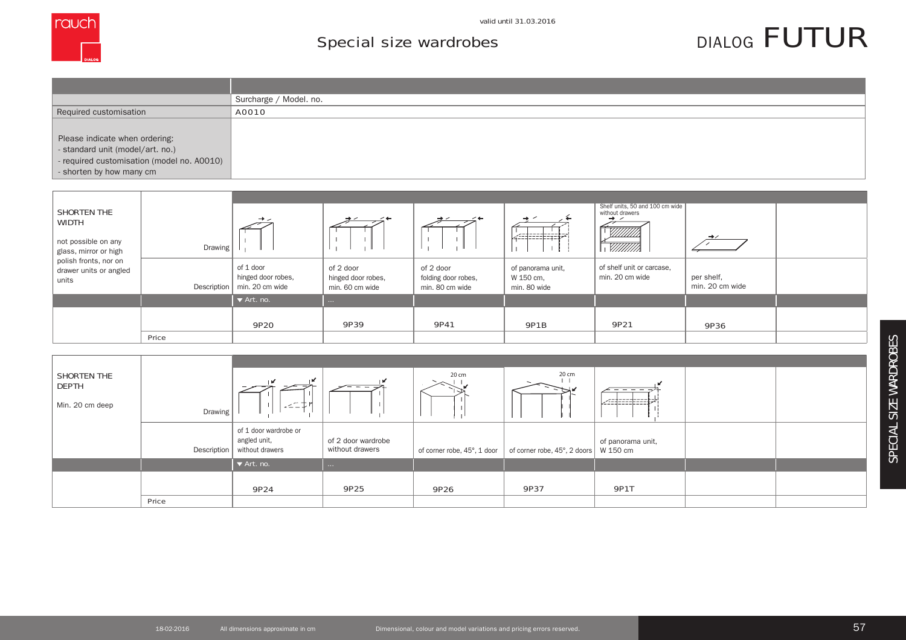

## Special size wardrobes

# DIALOG FUTUR

|                                            | Surcharge / Model. no. |
|--------------------------------------------|------------------------|
| Required customisation                     | A0010                  |
|                                            |                        |
| Please indicate when ordering:             |                        |
| - standard unit (model/art. no.)           |                        |
| - required customisation (model no. A0010) |                        |
| - shorten by how many cm                   |                        |

| <b>SHORTEN THE</b><br><b>WIDTH</b><br>not possible on any<br>glass, mirror or high | Drawing     | $\rightarrow$                                      | $\sim$ 4                                           | $\rightarrow$ $\leftarrow$                          | kobobori                                       | Shelf units, 50 and 100 cm wide<br>without drawers<br>$\rightarrow$ $\sim$<br>William<br><u>VIIIIII</u> ) | $\rightarrow$                 |  |
|------------------------------------------------------------------------------------|-------------|----------------------------------------------------|----------------------------------------------------|-----------------------------------------------------|------------------------------------------------|-----------------------------------------------------------------------------------------------------------|-------------------------------|--|
| polish fronts, nor on<br>drawer units or angled<br>units                           | Description | of 1 door<br>hinged door robes,<br>min. 20 cm wide | of 2 door<br>hinged door robes,<br>min. 60 cm wide | of 2 door<br>folding door robes,<br>min. 80 cm wide | of panorama unit,<br>W 150 cm,<br>min. 80 wide | of shelf unit or carcase,<br>min. 20 cm wide                                                              | per shelf,<br>min. 20 cm wide |  |
|                                                                                    |             | $\blacktriangleright$ Art. no.                     | <b>Contract</b>                                    |                                                     |                                                |                                                                                                           |                               |  |
|                                                                                    |             | 9P20                                               | 9P39                                               | 9P41                                                | <b>9P1B</b>                                    | 9P21                                                                                                      | 9P36                          |  |
|                                                                                    | Price       |                                                    |                                                    |                                                     |                                                |                                                                                                           |                               |  |

| <b>SHORTEN THE</b><br><b>DEPTH</b><br>Min. 20 cm deep | Drawing | --<br>$\sim -$                                                         | $ -$                                  | 20 cm                       | 20 cm                                             | Latinitieitä      |  |
|-------------------------------------------------------|---------|------------------------------------------------------------------------|---------------------------------------|-----------------------------|---------------------------------------------------|-------------------|--|
|                                                       |         | of 1 door wardrobe or<br>angled unit,<br>Description   without drawers | of 2 door wardrobe<br>without drawers | of corner robe, 45°, 1 door | of corner robe, $45^{\circ}$ , 2 doors   W 150 cm | of panorama unit, |  |
|                                                       |         | $\blacktriangledown$ Art. no.                                          | $\sim 100$                            |                             |                                                   |                   |  |
|                                                       | Price   | 9P24                                                                   | 9P25                                  | 9P26                        | 9P37                                              | <b>9P1T</b>       |  |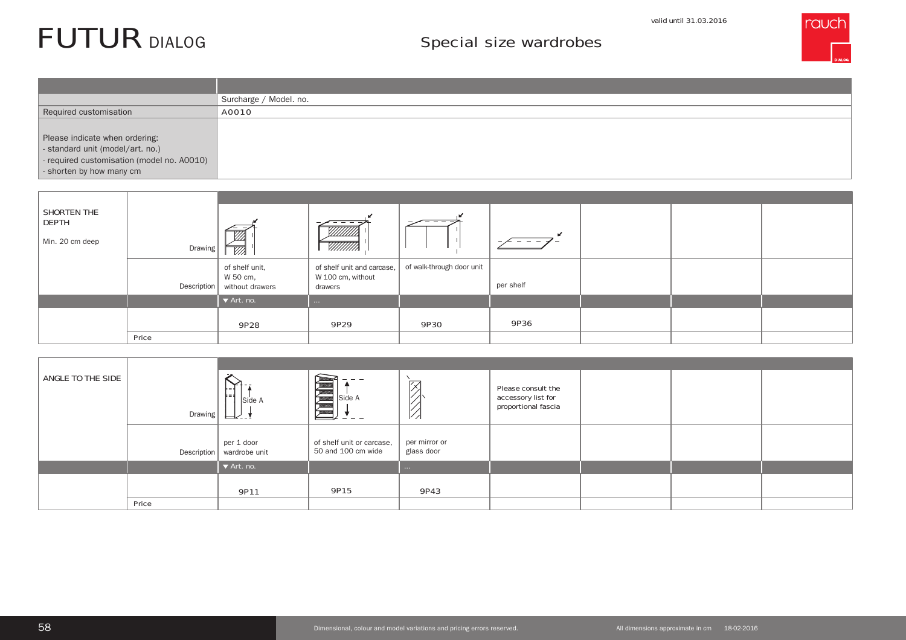#### valid until 31.03.2016

## Special size wardrobes



|                                                                                                                                              | Surcharge / Model. no. |
|----------------------------------------------------------------------------------------------------------------------------------------------|------------------------|
| Required customisation                                                                                                                       | A0010                  |
| Please indicate when ordering:<br>- standard unit (model/art. no.)<br>- required customisation (model no. A0010)<br>- shorten by how many cm |                        |

| SHORTEN THE<br><b>DEPTH</b><br>Min. 20 cm deep | Drawing     | $\overline{\mathbb{W}}$                       | -- -<br>$\overline{\phantom{a}}$<br><u> VIIIIII</u><br><u>VIIIIII</u> ). | ___                       | $-$<br>-  |  |  |
|------------------------------------------------|-------------|-----------------------------------------------|--------------------------------------------------------------------------|---------------------------|-----------|--|--|
|                                                | Description | of shelf unit,<br>W 50 cm,<br>without drawers | of shelf unit and carcase,<br>W 100 cm, without<br>drawers               | of walk-through door unit | per shelf |  |  |
|                                                |             | $\blacktriangleright$ Art. no.                | <b>Contract Contract</b>                                                 |                           |           |  |  |
|                                                |             | 9P28                                          | 9P29                                                                     | 9P30                      | 9P36      |  |  |
|                                                | Price       |                                               |                                                                          |                           |           |  |  |

| ANGLE TO THE SIDE | Drawing     | Side A<br>⊟∠- 1               | Side A                                          | $\overline{\phantom{a}}$<br>$\frac{1}{2}$ | Please consult the<br>accessory list for<br>proportional fascia |  |  |
|-------------------|-------------|-------------------------------|-------------------------------------------------|-------------------------------------------|-----------------------------------------------------------------|--|--|
|                   | Description | per 1 door<br>wardrobe unit   | of shelf unit or carcase,<br>50 and 100 cm wide | per mirror or<br>glass door               |                                                                 |  |  |
|                   |             | $\blacktriangledown$ Art. no. |                                                 | <b>Contract</b>                           |                                                                 |  |  |
|                   | Price       | 9P11                          | 9P15                                            | 9P43                                      |                                                                 |  |  |

FUTUR